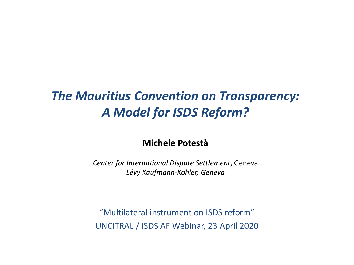#### *The Mauritius Convention on Transparency: A Model for ISDS Reform?*

#### **Michele Potestà**

*Center for International Dispute Settlement*, Geneva *Lévy Kaufmann-Kohler, Geneva*

"Multilateral instrument on ISDS reform" UNCITRAL / ISDS AF Webinar, 23 April 2020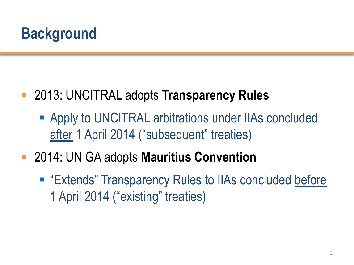## **Background**

- 2013: UNCITRAL adopts **Transparency Rules**
	- Apply to UNCITRAL arbitrations under IIAs concluded after 1 April 2014 ("subsequent" treaties)
- 2014: UN GA adopts **Mauritius Convention**
	- "Extends" Transparency Rules to IIAs concluded before 1 April 2014 ("existing" treaties)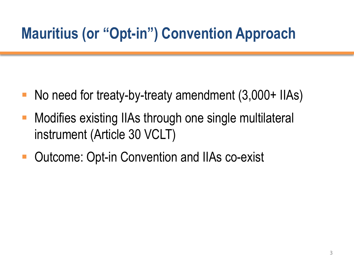## **Mauritius (or "Opt-in") Convention Approach**

- No need for treaty-by-treaty amendment (3,000+ IIAs)
- Modifies existing IIAs through one single multilateral instrument (Article 30 VCLT)
- Outcome: Opt-in Convention and IIAs co-exist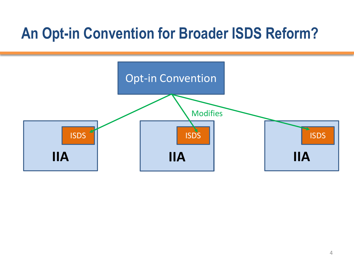## **An Opt-in Convention for Broader ISDS Reform?**

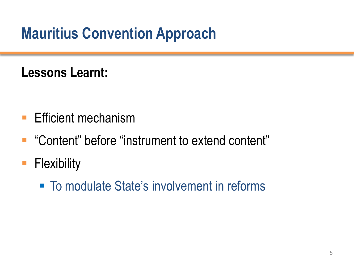# **Mauritius Convention Approach**

## **Lessons Learnt:**

- **Efficient mechanism**
- "Content" before "instrument to extend content"
- **Flexibility** 
	- To modulate State's involvement in reforms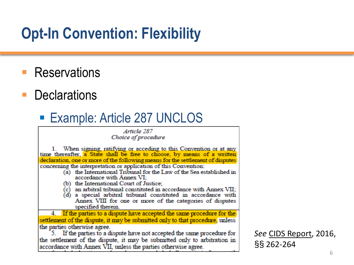## **Opt-In Convention: Flexibility**

- **Reservations**
- **Declarations**

## **Example: Article 287 UNCLOS**

#### Article 287 Choice of procedure

1. When signing, ratifying or acceding to this Convention or at any time thereafter, a State shall be free to choose, by means of a written declaration, one or more of the following means for the settlement of disputes concerning the interpretation or application of this Convention:

- (a) the International Tribunal for the Law of the Sea established in accordance with Annex VI:
- (b) the International Court of Justice:
- an arbitral tribunal constituted in accordance with Annex VII; (c)
- (d) a special arbitral tribunal constituted in accordance with Annex VIII for one or more of the categories of disputes specified therein.

4. If the parties to a dispute have accepted the same procedure for the settlement of the dispute, it may be submitted only to that procedure, unless the parties otherwise agree.

5. If the parties to a dispute have not accepted the same procedure for the settlement of the dispute, it may be submitted only to arbitration in accordance with Annex VII, unless the parties otherwise agree.

*See* CIDS Report, 2016, §§ 262-264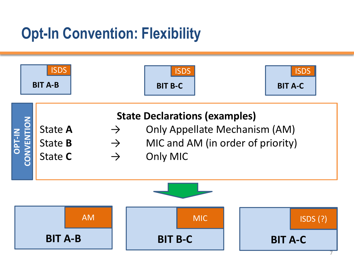## **Opt-In Convention: Flexibility**